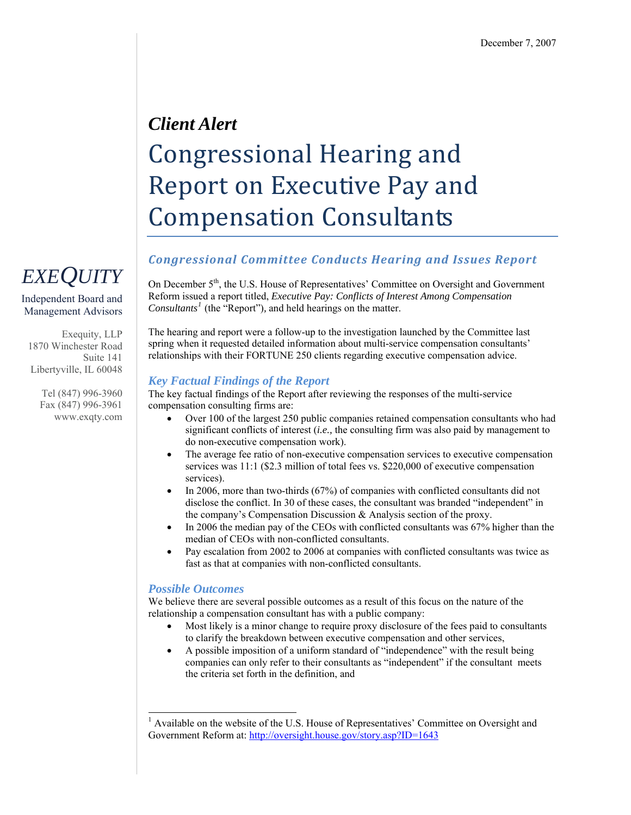# *Client Alert*  Congressional Hearing and Report on Executive Pay and Compensation Consultants

### *Congressional Committee Conducts Hearing and Issues Report*

On December  $5<sup>th</sup>$ , the U.S. House of Representatives' Committee on Oversight and Government Reform issued a report titled, *Executive Pay: Conflicts of Interest Among Compensation Consultants[1](#page-0-0)* (the "Report")*,* and held hearings on the matter.

The hearing and report were a follow-up to the investigation launched by the Committee last spring when it requested detailed information about multi-service compensation consultants' relationships with their FORTUNE 250 clients regarding executive compensation advice.

#### *Key Factual Findings of the Report*

The key factual findings of the Report after reviewing the responses of the multi-service compensation consulting firms are:

- Over 100 of the largest 250 public companies retained compensation consultants who had significant conflicts of interest (*i.e.,* the consulting firm was also paid by management to do non-executive compensation work).
- The average fee ratio of non-executive compensation services to executive compensation services was 11:1 (\$2.3 million of total fees vs. \$220,000 of executive compensation services).
- In 2006, more than two-thirds (67%) of companies with conflicted consultants did not disclose the conflict. In 30 of these cases, the consultant was branded "independent" in the company's Compensation Discussion & Analysis section of the proxy.
- In 2006 the median pay of the CEOs with conflicted consultants was 67% higher than the median of CEOs with non-conflicted consultants.
- Pay escalation from 2002 to 2006 at companies with conflicted consultants was twice as fast as that at companies with non-conflicted consultants.

### *Possible Outcomes*

1

We believe there are several possible outcomes as a result of this focus on the nature of the relationship a compensation consultant has with a public company:

- Most likely is a minor change to require proxy disclosure of the fees paid to consultants to clarify the breakdown between executive compensation and other services,
- A possible imposition of a uniform standard of "independence" with the result being companies can only refer to their consultants as "independent" if the consultant meets the criteria set forth in the definition, and

# *EXEQUITY*

Independent Board and Management Advisors

Exequity, LLP 1870 Winchester Road Suite 141 Libertyville, IL 60048

> Tel (847) 996-3960 Fax (847) 996-3961 www.exqty.com

<span id="page-0-0"></span><sup>&</sup>lt;sup>1</sup> Available on the website of the U.S. House of Representatives' Committee on Oversight and Government Reform at:<http://oversight.house.gov/story.asp?ID=1643>